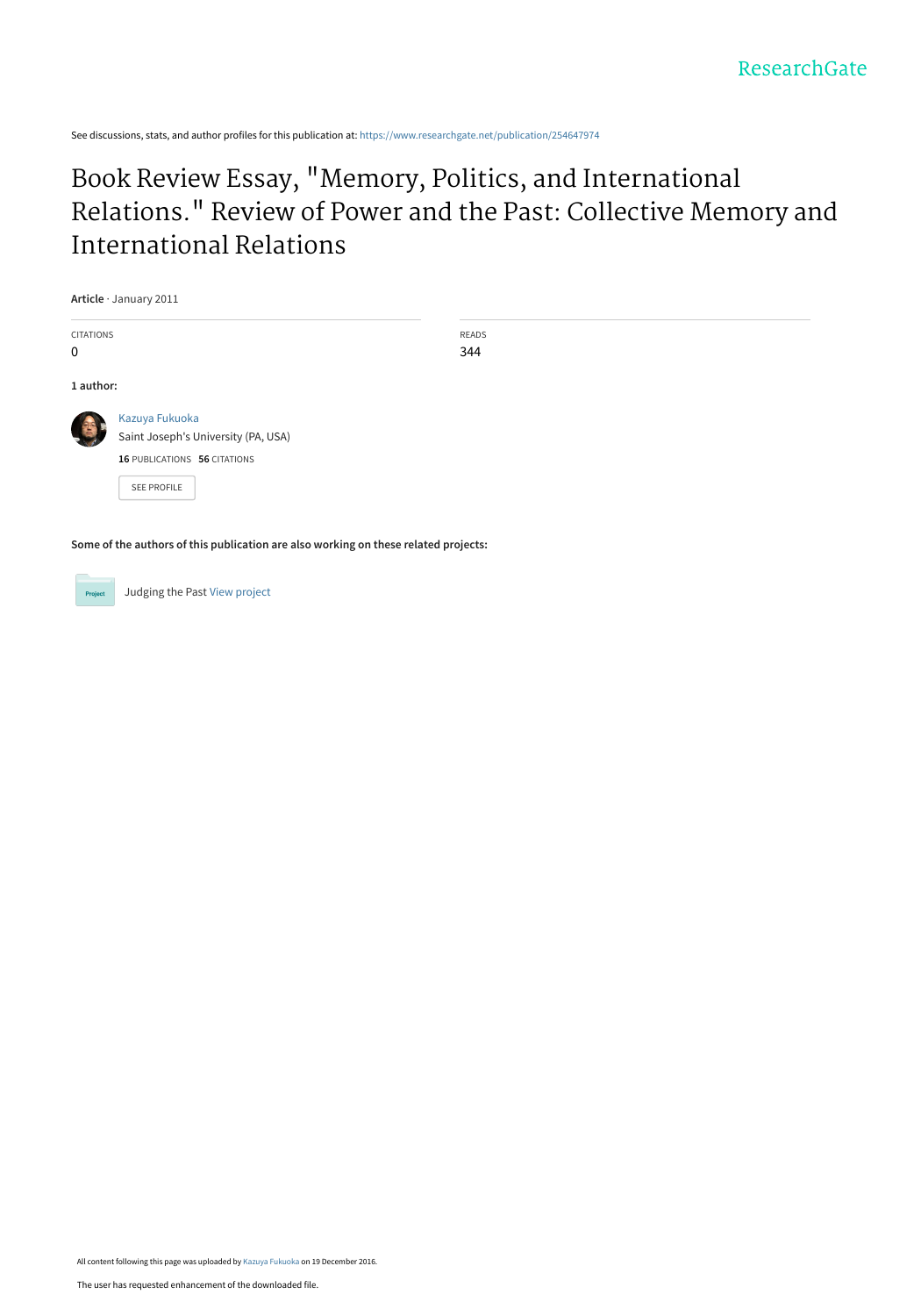See discussions, stats, and author profiles for this publication at: [https://www.researchgate.net/publication/254647974](https://www.researchgate.net/publication/254647974_Book_Review_Essay_Memory_Politics_and_International_Relations_Review_of_Power_and_the_Past_Collective_Memory_and_International_Relations?enrichId=rgreq-61e2ff2b8239a2d8103763a92f704d91-XXX&enrichSource=Y292ZXJQYWdlOzI1NDY0Nzk3NDtBUzo0NDEwMTE2NDMxMjk4NTZAMTQ4MjE1Njc3NzQwMw%3D%3D&el=1_x_2&_esc=publicationCoverPdf)

### Book Review Essay, "Memory, Politics, and International [Relations." Review of Power and the Past: Collective Memory and](https://www.researchgate.net/publication/254647974_Book_Review_Essay_Memory_Politics_and_International_Relations_Review_of_Power_and_the_Past_Collective_Memory_and_International_Relations?enrichId=rgreq-61e2ff2b8239a2d8103763a92f704d91-XXX&enrichSource=Y292ZXJQYWdlOzI1NDY0Nzk3NDtBUzo0NDEwMTE2NDMxMjk4NTZAMTQ4MjE1Njc3NzQwMw%3D%3D&el=1_x_3&_esc=publicationCoverPdf) International Relations

| Article · January 2011 |                                     |       |
|------------------------|-------------------------------------|-------|
| <b>CITATIONS</b>       |                                     | READS |
| $\mathbf 0$            |                                     | 344   |
| 1 author:              |                                     |       |
|                        | Kazuya Fukuoka                      |       |
|                        | Saint Joseph's University (PA, USA) |       |
|                        | 16 PUBLICATIONS 56 CITATIONS        |       |
|                        | SEE PROFILE                         |       |

**Some of the authors of this publication are also working on these related projects:**



**Project** Judging the Past [View project](https://www.researchgate.net/project/Judging-the-Past?enrichId=rgreq-61e2ff2b8239a2d8103763a92f704d91-XXX&enrichSource=Y292ZXJQYWdlOzI1NDY0Nzk3NDtBUzo0NDEwMTE2NDMxMjk4NTZAMTQ4MjE1Njc3NzQwMw%3D%3D&el=1_x_9&_esc=publicationCoverPdf)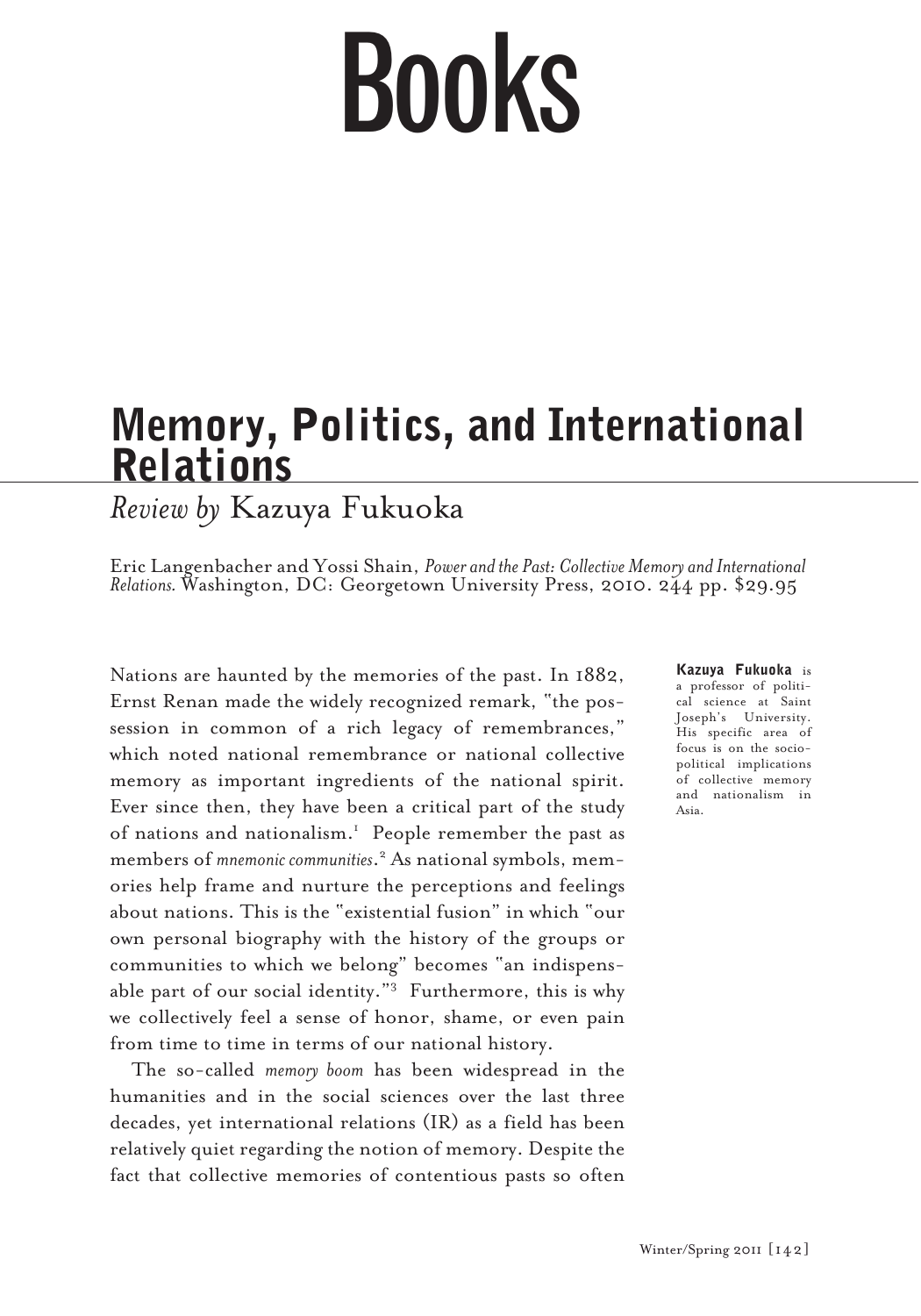# Books

## Memory, Politics, and International **Relations**

*Review by* Kazuya Fukuoka

Eric Langenbacher and Yossi Shain, *Power and the Past: Collective Memory and International*<br>Relations. Washington, DC: Georgetown University Press, 2010. 244 pp. \$29.95

Nations are haunted by the memories of the past. In 1882, Ernst Renan made the widely recognized remark, "the possession in common of a rich legacy of remembrances," which noted national remembrance or national collective memory as important ingredients of the national spirit. Ever since then, they have been a critical part of the study of nations and nationalism.<sup>1</sup> People remember the past as members of *mnemonic communities*. 2 As national symbols, memories help frame and nurture the perceptions and feelings about nations. This is the "existential fusion" in which "our own personal biography with the history of the groups or communities to which we belong" becomes "an indispensable part of our social identity."<sup>3</sup> Furthermore, this is why we collectively feel a sense of honor, shame, or even pain from time to time in terms of our national history.

The so-called *memory boom* has been widespread in the humanities and in the social sciences over the last three decades, yet international relations (IR) as a field has been relatively quiet regarding the notion of memory. Despite the fact that collective memories of contentious pasts so often Kazuya Fukuoka is a professor of political science at Saint Joseph's University. His specific area of focus is on the sociopolitical implications of collective memory and nationalism in Asia.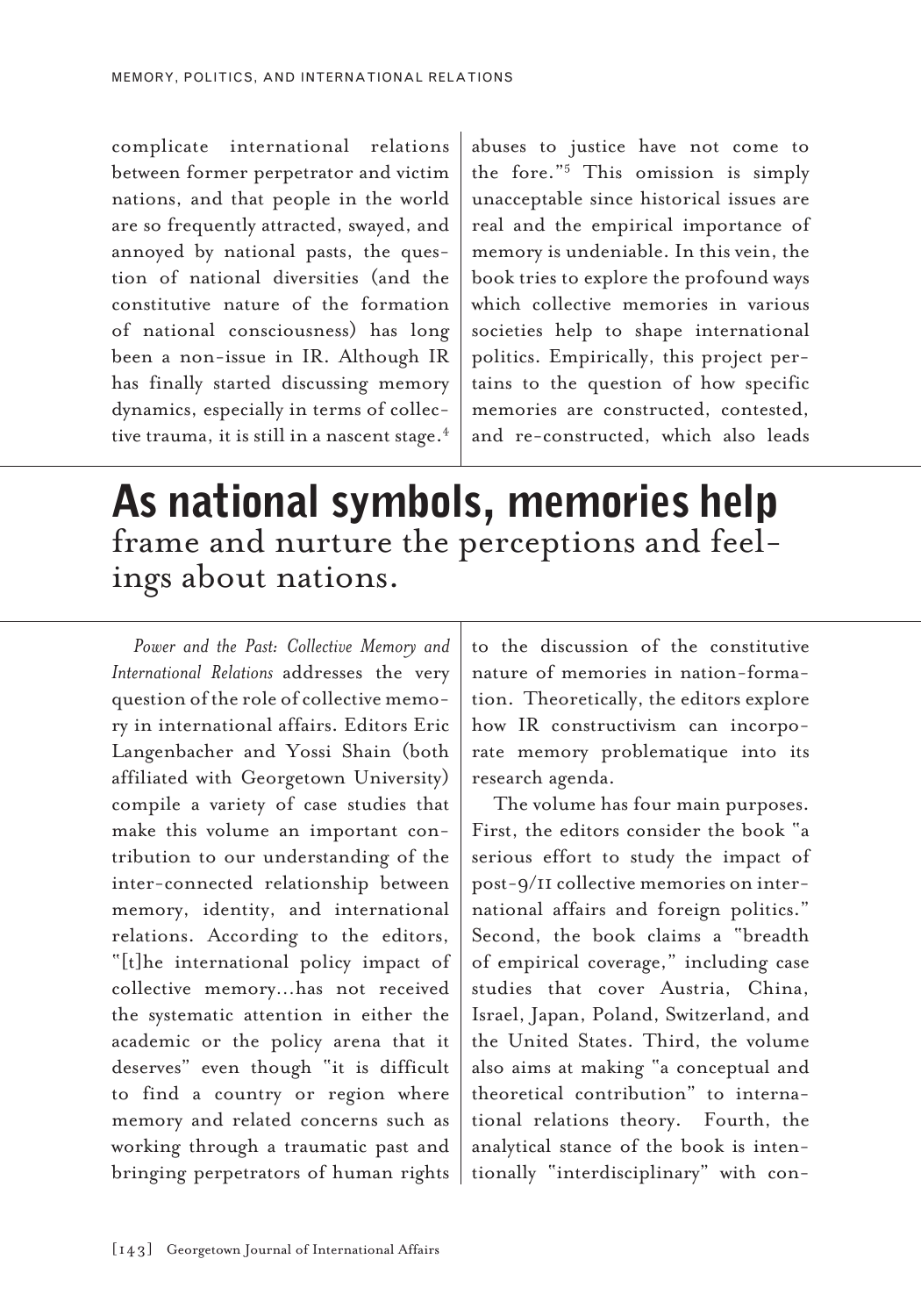complicate international relations between former perpetrator and victim nations, and that people in the world are so frequently attracted, swayed, and annoyed by national pasts, the question of national diversities (and the constitutive nature of the formation of national consciousness) has long been a non-issue in IR. Although IR has finally started discussing memory dynamics, especially in terms of collective trauma, it is still in a nascent stage. $4$ 

abuses to justice have not come to the fore."5 This omission is simply unacceptable since historical issues are real and the empirical importance of memory is undeniable. In this vein, the book tries to explore the profound ways which collective memories in various societies help to shape international politics. Empirically, this project pertains to the question of how specific memories are constructed, contested, and re-constructed, which also leads

## As national symbols, memories help frame and nurture the perceptions and feel- ings about nations.

*Power and the Past: Collective Memory and International Relations* addresses the very question of the role of collective memory in international affairs. Editors Eric Langenbacher and Yossi Shain (both affiliated with Georgetown University) compile a variety of case studies that make this volume an important contribution to our understanding of the inter-connected relationship between memory, identity, and international relations. According to the editors, "[t]he international policy impact of collective memory…has not received the systematic attention in either the academic or the policy arena that it deserves" even though "it is difficult to find a country or region where memory and related concerns such as working through a traumatic past and bringing perpetrators of human rights

to the discussion of the constitutive nature of memories in nation-formation. Theoretically, the editors explore how IR constructivism can incorporate memory problematique into its research agenda.

The volume has four main purposes. First, the editors consider the book "a serious effort to study the impact of post-9/11 collective memories on international affairs and foreign politics." Second, the book claims a "breadth of empirical coverage," including case studies that cover Austria, China, Israel, Japan, Poland, Switzerland, and the United States. Third, the volume also aims at making "a conceptual and theoretical contribution" to international relations theory. Fourth, the analytical stance of the book is intentionally "interdisciplinary" with con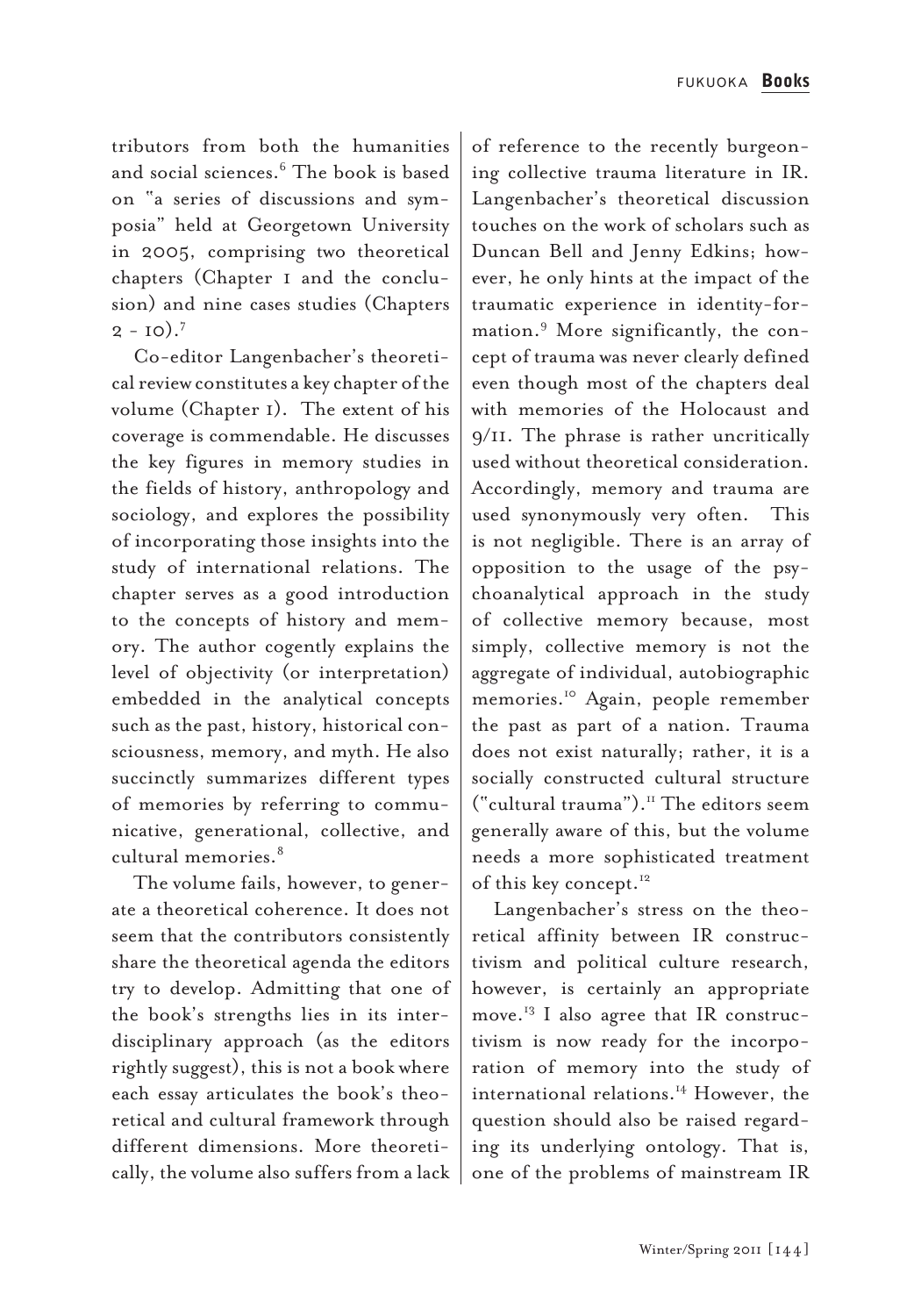tributors from both the humanities and social sciences.6 The book is based on "a series of discussions and symposia" held at Georgetown University in 2005, comprising two theoretical chapters (Chapter 1 and the conclusion) and nine cases studies (Chapters  $2 - 10$ .<sup>7</sup>

Co-editor Langenbacher's theoretical review constitutes a key chapter of the volume (Chapter 1). The extent of his coverage is commendable. He discusses the key figures in memory studies in the fields of history, anthropology and sociology, and explores the possibility of incorporating those insights into the study of international relations. The chapter serves as a good introduction to the concepts of history and memory. The author cogently explains the level of objectivity (or interpretation) embedded in the analytical concepts such as the past, history, historical consciousness, memory, and myth. He also succinctly summarizes different types of memories by referring to communicative, generational, collective, and cultural memories.<sup>8</sup>

The volume fails, however, to generate a theoretical coherence. It does not seem that the contributors consistently share the theoretical agenda the editors try to develop. Admitting that one of the book's strengths lies in its interdisciplinary approach (as the editors rightly suggest), this is not a book where each essay articulates the book's theoretical and cultural framework through different dimensions. More theoretically, the volume also suffers from a lack

of reference to the recently burgeoning collective trauma literature in IR. Langenbacher's theoretical discussion touches on the work of scholars such as Duncan Bell and Jenny Edkins; however, he only hints at the impact of the traumatic experience in identity-formation.9 More significantly, the concept of trauma was never clearly defined even though most of the chapters deal with memories of the Holocaust and 9/11. The phrase is rather uncritically used without theoretical consideration. Accordingly, memory and trauma are used synonymously very often. This is not negligible. There is an array of opposition to the usage of the psychoanalytical approach in the study of collective memory because, most simply, collective memory is not the aggregate of individual, autobiographic memories.10 Again, people remember the past as part of a nation. Trauma does not exist naturally; rather, it is a socially constructed cultural structure ("cultural trauma").11 The editors seem generally aware of this, but the volume needs a more sophisticated treatment of this key concept.<sup>12</sup>

Langenbacher's stress on the theoretical affinity between IR constructivism and political culture research, however, is certainly an appropriate move.13 I also agree that IR constructivism is now ready for the incorporation of memory into the study of international relations.<sup>14</sup> However, the question should also be raised regarding its underlying ontology. That is, one of the problems of mainstream IR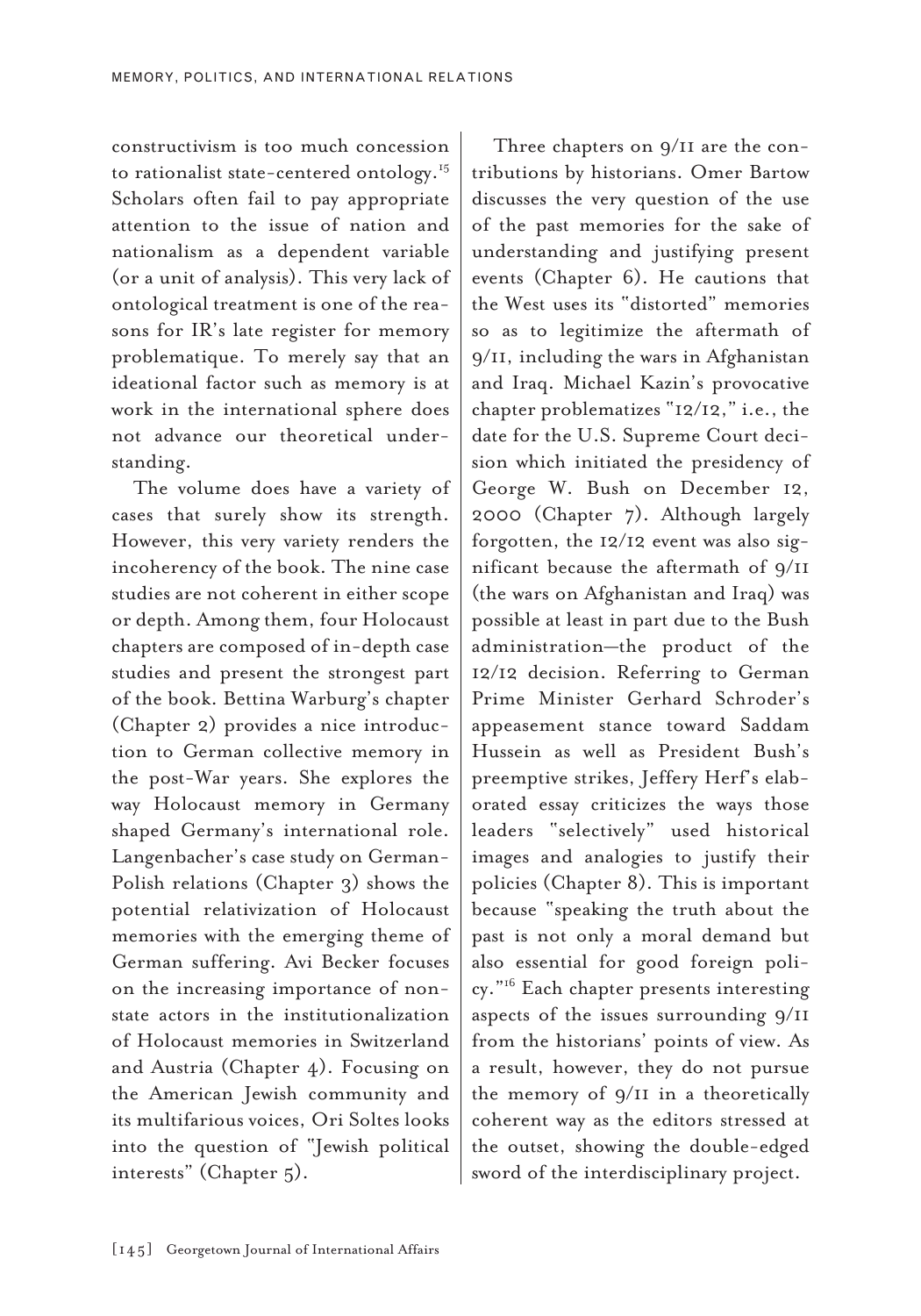constructivism is too much concession to rationalist state-centered ontology.<sup>15</sup> Scholars often fail to pay appropriate attention to the issue of nation and nationalism as a dependent variable (or a unit of analysis). This very lack of ontological treatment is one of the reasons for IR's late register for memory problematique. To merely say that an ideational factor such as memory is at work in the international sphere does not advance our theoretical understanding.

The volume does have a variety of cases that surely show its strength. However, this very variety renders the incoherency of the book. The nine case studies are not coherent in either scope or depth. Among them, four Holocaust chapters are composed of in-depth case studies and present the strongest part of the book. Bettina Warburg's chapter (Chapter 2) provides a nice introduction to German collective memory in the post-War years. She explores the way Holocaust memory in Germany shaped Germany's international role. Langenbacher's case study on German-Polish relations (Chapter 3) shows the potential relativization of Holocaust memories with the emerging theme of German suffering. Avi Becker focuses on the increasing importance of nonstate actors in the institutionalization of Holocaust memories in Switzerland and Austria (Chapter 4). Focusing on the American Jewish community and its multifarious voices, Ori Soltes looks into the question of "Jewish political interests" (Chapter 5).

Three chapters on 9/11 are the contributions by historians. Omer Bartow discusses the very question of the use of the past memories for the sake of understanding and justifying present events (Chapter 6). He cautions that the West uses its "distorted" memories so as to legitimize the aftermath of 9/11, including the wars in Afghanistan and Iraq. Michael Kazin's provocative chapter problematizes "12/12," i.e., the date for the U.S. Supreme Court decision which initiated the presidency of George W. Bush on December 12, 2000 (Chapter 7). Although largely forgotten, the 12/12 event was also significant because the aftermath of 9/11 (the wars on Afghanistan and Iraq) was possible at least in part due to the Bush administration—the product of the 12/12 decision. Referring to German Prime Minister Gerhard Schroder's appeasement stance toward Saddam Hussein as well as President Bush's preemptive strikes, Jeffery Herf's elaborated essay criticizes the ways those leaders "selectively" used historical images and analogies to justify their policies (Chapter 8). This is important because "speaking the truth about the past is not only a moral demand but also essential for good foreign policy."16 Each chapter presents interesting aspects of the issues surrounding 9/11 from the historians' points of view. As a result, however, they do not pursue the memory of 9/11 in a theoretically coherent way as the editors stressed at the outset, showing the double-edged sword of the interdisciplinary project.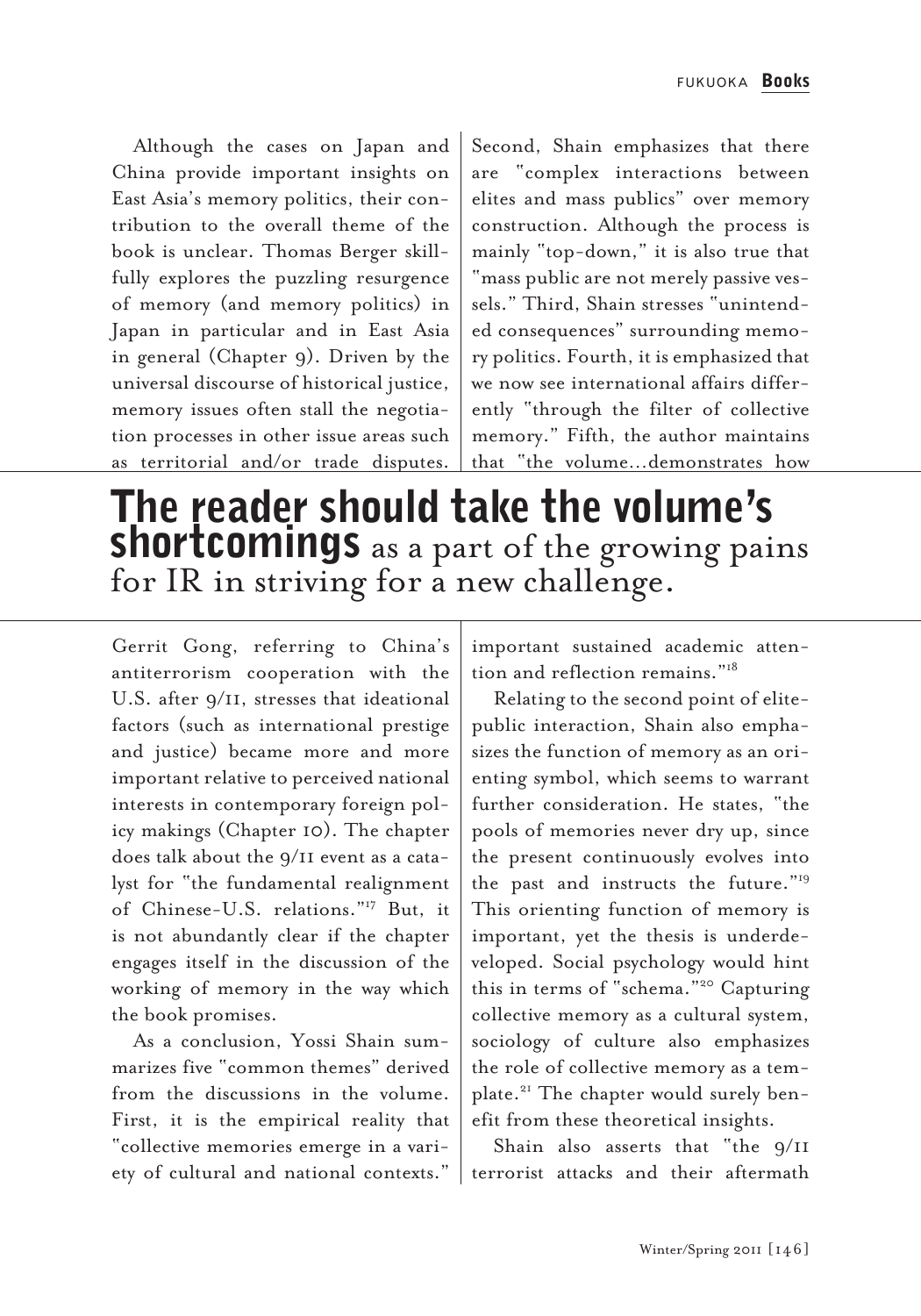Although the cases on Japan and China provide important insights on East Asia's memory politics, their contribution to the overall theme of the book is unclear. Thomas Berger skillfully explores the puzzling resurgence of memory (and memory politics) in Japan in particular and in East Asia in general (Chapter 9). Driven by the universal discourse of historical justice, memory issues often stall the negotiation processes in other issue areas such as territorial and/or trade disputes.

Second, Shain emphasizes that there are "complex interactions between elites and mass publics" over memory construction. Although the process is mainly "top-down," it is also true that "mass public are not merely passive vessels." Third, Shain stresses "unintended consequences" surrounding memory politics. Fourth, it is emphasized that we now see international affairs differently "through the filter of collective memory." Fifth, the author maintains that "the volume…demonstrates how

## The reader should take the volume's **shortcomings** as a part of the growing pains for IR in striving for a new challenge.

Gerrit Gong, referring to China's antiterrorism cooperation with the U.S. after 9/11, stresses that ideational factors (such as international prestige and justice) became more and more important relative to perceived national interests in contemporary foreign policy makings (Chapter 10). The chapter does talk about the 9/11 event as a catalyst for "the fundamental realignment of Chinese-U.S. relations."17 But, it is not abundantly clear if the chapter engages itself in the discussion of the working of memory in the way which the book promises.

As a conclusion, Yossi Shain summarizes five "common themes" derived from the discussions in the volume. First, it is the empirical reality that "collective memories emerge in a variety of cultural and national contexts." important sustained academic attention and reflection remains."18

Relating to the second point of elitepublic interaction, Shain also emphasizes the function of memory as an orienting symbol, which seems to warrant further consideration. He states, "the pools of memories never dry up, since the present continuously evolves into the past and instructs the future."19 This orienting function of memory is important, yet the thesis is underdeveloped. Social psychology would hint this in terms of "schema."20 Capturing collective memory as a cultural system, sociology of culture also emphasizes the role of collective memory as a template.21 The chapter would surely benefit from these theoretical insights.

Shain also asserts that "the 9/11 terrorist attacks and their aftermath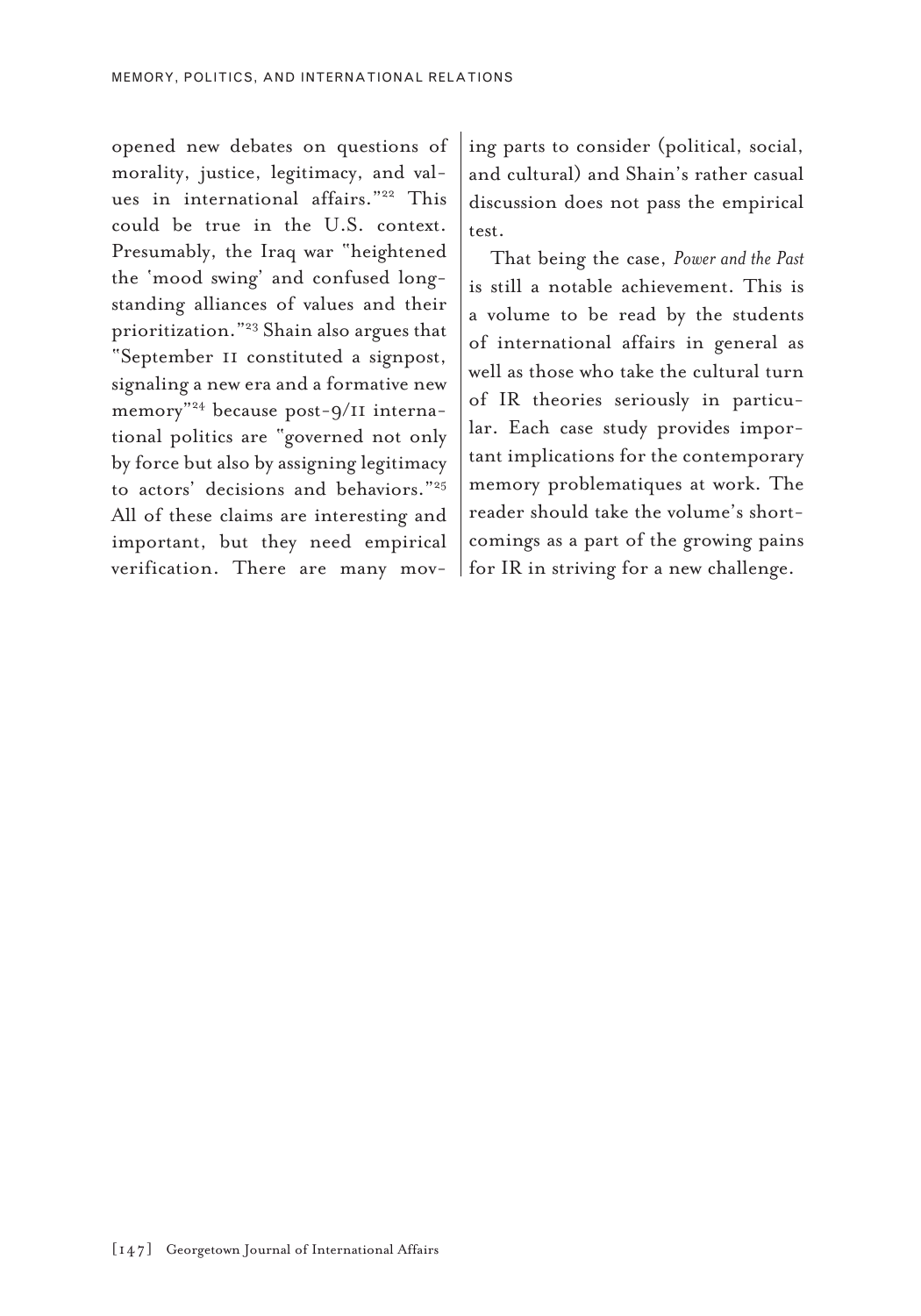opened new debates on questions of morality, justice, legitimacy, and values in international affairs."<sup>22</sup> This could be true in the U.S. context. Presumably, the Iraq war "heightened the 'mood swing' and confused longstanding alliances of values and their prioritization."23 Shain also argues that "September 11 constituted a signpost, signaling a new era and a formative new memory"24 because post-9/11 international politics are "governed not only by force but also by assigning legitimacy to actors' decisions and behaviors."25 All of these claims are interesting and important, but they need empirical verification. There are many moving parts to consider (political, social, and cultural) and Shain's rather casual discussion does not pass the empirical test.

That being the case, *Power and the Past* is still a notable achievement. This is a volume to be read by the students of international affairs in general as well as those who take the cultural turn of IR theories seriously in particular. Each case study provides important implications for the contemporary memory problematiques at work. The reader should take the volume's shortcomings as a part of the growing pains for IR in striving for a new challenge.